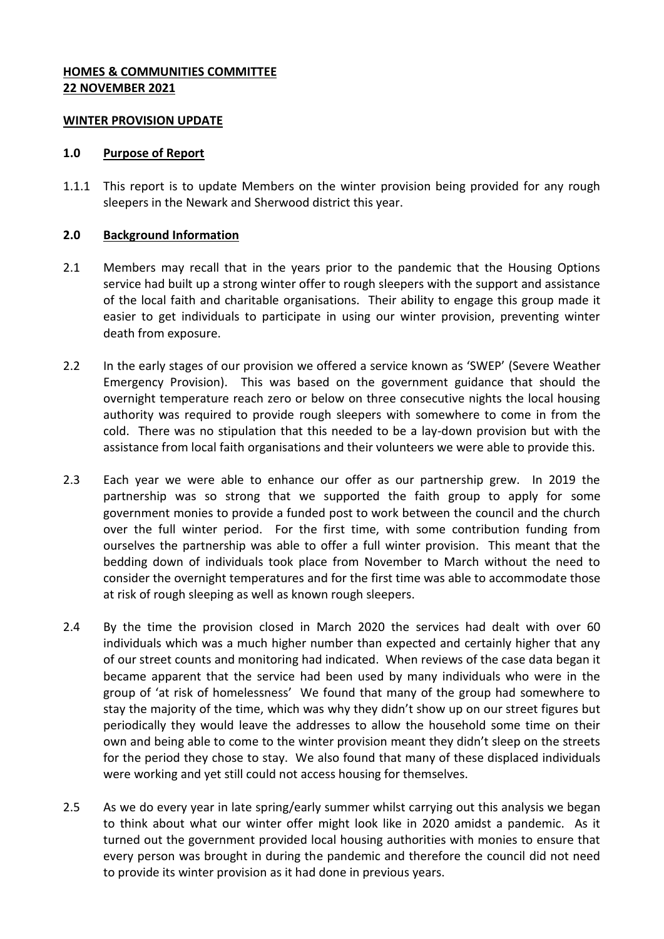### **HOMES & COMMUNITIES COMMITTEE 22 NOVEMBER 2021**

#### **WINTER PROVISION UPDATE**

#### **1.0 Purpose of Report**

1.1.1 This report is to update Members on the winter provision being provided for any rough sleepers in the Newark and Sherwood district this year.

### **2.0 Background Information**

- 2.1 Members may recall that in the years prior to the pandemic that the Housing Options service had built up a strong winter offer to rough sleepers with the support and assistance of the local faith and charitable organisations. Their ability to engage this group made it easier to get individuals to participate in using our winter provision, preventing winter death from exposure.
- 2.2 In the early stages of our provision we offered a service known as 'SWEP' (Severe Weather Emergency Provision). This was based on the government guidance that should the overnight temperature reach zero or below on three consecutive nights the local housing authority was required to provide rough sleepers with somewhere to come in from the cold. There was no stipulation that this needed to be a lay-down provision but with the assistance from local faith organisations and their volunteers we were able to provide this.
- 2.3 Each year we were able to enhance our offer as our partnership grew. In 2019 the partnership was so strong that we supported the faith group to apply for some government monies to provide a funded post to work between the council and the church over the full winter period. For the first time, with some contribution funding from ourselves the partnership was able to offer a full winter provision. This meant that the bedding down of individuals took place from November to March without the need to consider the overnight temperatures and for the first time was able to accommodate those at risk of rough sleeping as well as known rough sleepers.
- 2.4 By the time the provision closed in March 2020 the services had dealt with over 60 individuals which was a much higher number than expected and certainly higher that any of our street counts and monitoring had indicated. When reviews of the case data began it became apparent that the service had been used by many individuals who were in the group of 'at risk of homelessness' We found that many of the group had somewhere to stay the majority of the time, which was why they didn't show up on our street figures but periodically they would leave the addresses to allow the household some time on their own and being able to come to the winter provision meant they didn't sleep on the streets for the period they chose to stay. We also found that many of these displaced individuals were working and yet still could not access housing for themselves.
- 2.5 As we do every year in late spring/early summer whilst carrying out this analysis we began to think about what our winter offer might look like in 2020 amidst a pandemic. As it turned out the government provided local housing authorities with monies to ensure that every person was brought in during the pandemic and therefore the council did not need to provide its winter provision as it had done in previous years.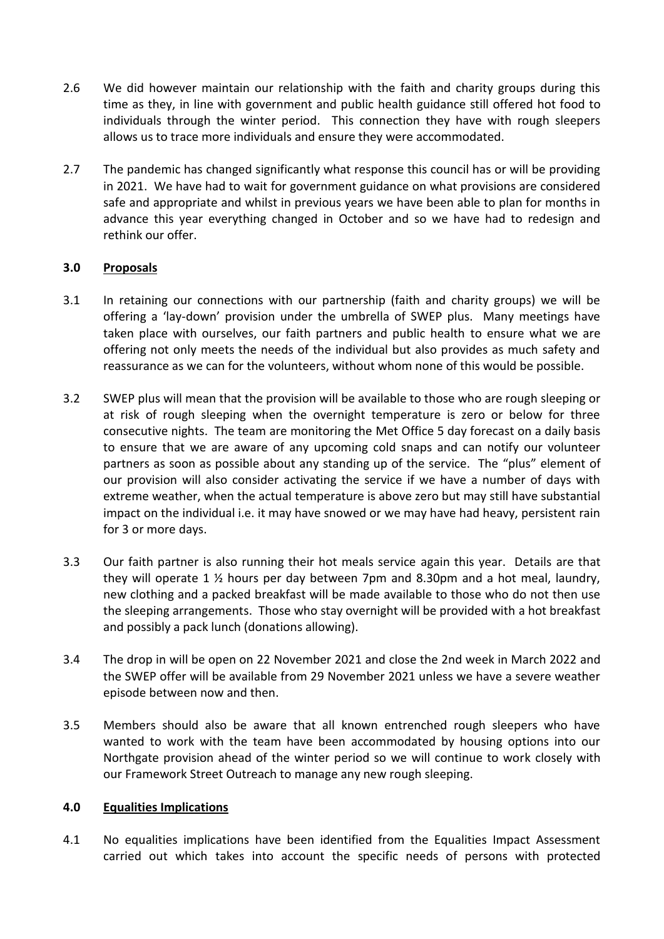- 2.6 We did however maintain our relationship with the faith and charity groups during this time as they, in line with government and public health guidance still offered hot food to individuals through the winter period. This connection they have with rough sleepers allows us to trace more individuals and ensure they were accommodated.
- 2.7 The pandemic has changed significantly what response this council has or will be providing in 2021. We have had to wait for government guidance on what provisions are considered safe and appropriate and whilst in previous years we have been able to plan for months in advance this year everything changed in October and so we have had to redesign and rethink our offer.

# **3.0 Proposals**

- 3.1 In retaining our connections with our partnership (faith and charity groups) we will be offering a 'lay-down' provision under the umbrella of SWEP plus. Many meetings have taken place with ourselves, our faith partners and public health to ensure what we are offering not only meets the needs of the individual but also provides as much safety and reassurance as we can for the volunteers, without whom none of this would be possible.
- 3.2 SWEP plus will mean that the provision will be available to those who are rough sleeping or at risk of rough sleeping when the overnight temperature is zero or below for three consecutive nights. The team are monitoring the Met Office 5 day forecast on a daily basis to ensure that we are aware of any upcoming cold snaps and can notify our volunteer partners as soon as possible about any standing up of the service. The "plus" element of our provision will also consider activating the service if we have a number of days with extreme weather, when the actual temperature is above zero but may still have substantial impact on the individual i.e. it may have snowed or we may have had heavy, persistent rain for 3 or more days.
- 3.3 Our faith partner is also running their hot meals service again this year. Details are that they will operate 1 ½ hours per day between 7pm and 8.30pm and a hot meal, laundry, new clothing and a packed breakfast will be made available to those who do not then use the sleeping arrangements. Those who stay overnight will be provided with a hot breakfast and possibly a pack lunch (donations allowing).
- 3.4 The drop in will be open on 22 November 2021 and close the 2nd week in March 2022 and the SWEP offer will be available from 29 November 2021 unless we have a severe weather episode between now and then.
- 3.5 Members should also be aware that all known entrenched rough sleepers who have wanted to work with the team have been accommodated by housing options into our Northgate provision ahead of the winter period so we will continue to work closely with our Framework Street Outreach to manage any new rough sleeping.

### **4.0 Equalities Implications**

4.1 No equalities implications have been identified from the Equalities Impact Assessment carried out which takes into account the specific needs of persons with protected